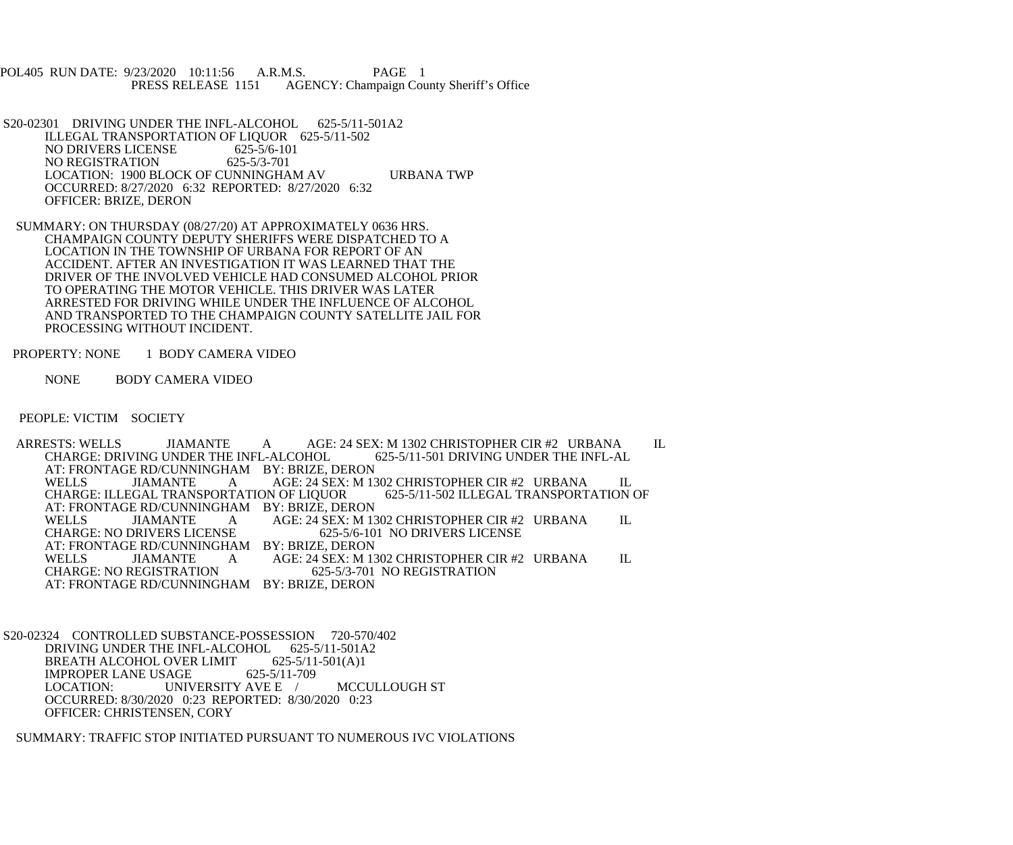POL405 RUN DATE: 9/23/2020 10:11:56 A.R.M.S. PAGE 1<br>PRESS RELEASE 1151 AGENCY: Champaign Cou AGENCY: Champaign County Sheriff's Office

S20-02301 DRIVING UNDER THE INFL-ALCOHOL 625-5/11-501A2 ILLEGAL TRANSPORTATION OF LIQUOR 625-5/11-502 NO DRIVERS LICENSE 625-5/6-101<br>NO REGISTRATION 625-5/3-701 NO REGISTRATION LOCATION: 1900 BLOCK OF CUNNINGHAM AV URBANA TWP OCCURRED: 8/27/2020 6:32 REPORTED: 8/27/2020 6:32 OFFICER: BRIZE, DERON

 SUMMARY: ON THURSDAY (08/27/20) AT APPROXIMATELY 0636 HRS. CHAMPAIGN COUNTY DEPUTY SHERIFFS WERE DISPATCHED TO A LOCATION IN THE TOWNSHIP OF URBANA FOR REPORT OF AN ACCIDENT. AFTER AN INVESTIGATION IT WAS LEARNED THAT THE DRIVER OF THE INVOLVED VEHICLE HAD CONSUMED ALCOHOL PRIOR TO OPERATING THE MOTOR VEHICLE. THIS DRIVER WAS LATER ARRESTED FOR DRIVING WHILE UNDER THE INFLUENCE OF ALCOHOL AND TRANSPORTED TO THE CHAMPAIGN COUNTY SATELLITE JAIL FOR PROCESSING WITHOUT INCIDENT.

PROPERTY: NONE 1 BODY CAMERA VIDEO

NONE BODY CAMERA VIDEO

PEOPLE: VICTIM SOCIETY

ARRESTS: WELLS JIAMANTE A AGE: 24 SEX: M 1302 CHRISTOPHER CIR #2 URBANA IL CHARGE: DRIVING UNDER THE INFL-AL CHARGE: DRIVING UNDER THE INFL-ALCOHOL AT: FRONTAGE RD/CUNNINGHAM BY: BRIZE, DERON<br>WELLS JIAMANTE A AGE: 24 SEX: M 13 A AGE: 24 SEX: M 1302 CHRISTOPHER CIR #2 URBANA IL<br>RTATION OF LIOUOR 625-5/11-502 ILLEGAL TRANSPORTATION OF CHARGE: ILLEGAL TRANSPORTATION OF LIQUOR AT: FRONTAGE RD/CUNNINGHAM BY: BRIZE, DERON WELLS JIAMANTE A AGE: 24 SEX: M 1302 CHRISTOPHER CIR #2 URBANA IL CHARGE: NO DRIVERS LICENSE 625-5/6-101 NO DRIVERS LICENSE CHARGE: NO DRIVERS LICENSE 625-5/6-101 NO DRIVERS LICENSE AT: FRONTAGE RD/CUNNINGHAM BY: BRIZE, DERON<br>WELLS JIAMANTE A AGE: 24 SEX: M 13 WELLS JIAMANTE A AGE: 24 SEX: M 1302 CHRISTOPHER CIR #2 URBANA IL<br>CHARGE: NO REGISTRATION 625-5/3-701 NO REGISTRATION CHARGE: NO REGISTRATION 625-5/3-701 NO REGISTRATION AT: FRONTAGE RD/CUNNINGHAM BY: BRIZE, DERON

 S20-02324 CONTROLLED SUBSTANCE-POSSESSION 720-570/402 DRIVING UNDER THE INFL-ALCOHOL 625-5/11-501A2 BREATH ALCOHOL OVER LIMIT 625-5/11-501(A)1<br>IMPROPER LANE USAGE 625-5/11-709 IMPROPER LANE USAGE<br>LOCATION: UNIV UNIVERSITY AVE E / MCCULLOUGH ST OCCURRED: 8/30/2020 0:23 REPORTED: 8/30/2020 0:23 OFFICER: CHRISTENSEN, CORY

SUMMARY: TRAFFIC STOP INITIATED PURSUANT TO NUMEROUS IVC VIOLATIONS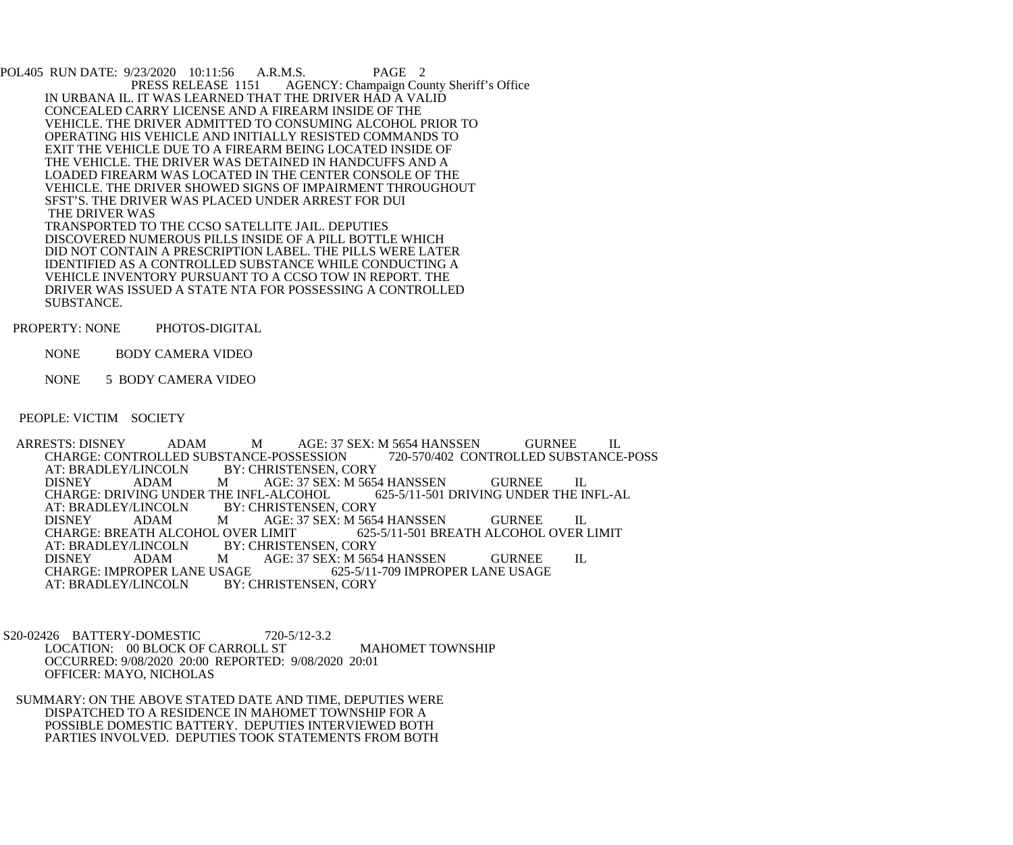POL405 RUN DATE: 9/23/2020 10:11:56 A.R.M.S. PAGE 2<br>PRESS RELEASE 1151 AGENCY: Champaign Cou AGENCY: Champaign County Sheriff's Office IN URBANA IL. IT WAS LEARNED THAT THE DRIVER HAD A VALID CONCEALED CARRY LICENSE AND A FIREARM INSIDE OF THE VEHICLE. THE DRIVER ADMITTED TO CONSUMING ALCOHOL PRIOR TO OPERATING HIS VEHICLE AND INITIALLY RESISTED COMMANDS TO EXIT THE VEHICLE DUE TO A FIREARM BEING LOCATED INSIDE OF THE VEHICLE. THE DRIVER WAS DETAINED IN HANDCUFFS AND A LOADED FIREARM WAS LOCATED IN THE CENTER CONSOLE OF THE VEHICLE. THE DRIVER SHOWED SIGNS OF IMPAIRMENT THROUGHOUT SFST'S. THE DRIVER WAS PLACED UNDER ARREST FOR DUI THE DRIVER WAS TRANSPORTED TO THE CCSO SATELLITE JAIL. DEPUTIES DISCOVERED NUMEROUS PILLS INSIDE OF A PILL BOTTLE WHICH DID NOT CONTAIN A PRESCRIPTION LABEL. THE PILLS WERE LATER IDENTIFIED AS A CONTROLLED SUBSTANCE WHILE CONDUCTING A VEHICLE INVENTORY PURSUANT TO A CCSO TOW IN REPORT. THE DRIVER WAS ISSUED A STATE NTA FOR POSSESSING A CONTROLLED SUBSTANCE.

PROPERTY: NONE PHOTOS-DIGITAL

NONE BODY CAMERA VIDEO

NONE 5 BODY CAMERA VIDEO

PEOPLE: VICTIM SOCIETY

ARRESTS: DISNEY ADAM MAGE: 37 SEX: M 5654 HANSSEN GURNEE IL<br>CHARGE: CONTROLLED SUBSTANCE-POSSESSION 720-570/402 CONTROLLED SUBSTANCE-POSS CHARGE: CONTROLLED SUBSTANCE-POSSESSION<br>AT: BRADLEY/LINCOLN BY: CHRISTENSEN, C AT: BRADLEY/LINCOLN BY: CHRISTENSEN, CORY<br>DISNEY ADAM MAGE: 37 SEX: M 565 M AGE: 37 SEX: M 5654 HANSSEN GURNEE IL<br>THE INFL-ALCOHOL 625-5/11-501 DRIVING UNDER THE INFL-AL CHARGE: DRIVING UNDER THE INFL-ALCOHOL<br>AT: BRADLEY/LINCOLN BY: CHRISTENSEN BY: CHRISTENSEN, CORY DISNEY ADAM M AGE: 37 SEX: M 5654 HANSSEN GURNEE IL CHARGE: BREATH ALCOHOL OVER LIMIT 625-5/11-501 BREATH ALCOHOL OVER CHARGE: BREATH ALCOHOL OVER LIMIT 625-5/11-501 BREATH ALCOHOL OVER LIMIT AT: BRADLEY/LINCOLN BY: CHRISTENSEN, CORY AT: BRADLEY/LINCOLN BY: CHRISTENSEN, CORY<br>DISNEY ADAM MAGE: 37 SEX: M 565 M AGE: 37 SEX: M 5654 HANSSEN GURNEE IL<br>SAGE 625-5/11-709 IMPROPER LANE USAGE CHARGE: IMPROPER LANE USAGE<br>AT: BRADLEY/LINCOLN BY: 0 BY: CHRISTENSEN, CORY

 S20-02426 BATTERY-DOMESTIC 720-5/12-3.2 LOCATION: 00 BLOCK OF CARROLL ST MAHOMET TOWNSHIP OCCURRED: 9/08/2020 20:00 REPORTED: 9/08/2020 20:01 OFFICER: MAYO, NICHOLAS

 SUMMARY: ON THE ABOVE STATED DATE AND TIME, DEPUTIES WERE DISPATCHED TO A RESIDENCE IN MAHOMET TOWNSHIP FOR A POSSIBLE DOMESTIC BATTERY. DEPUTIES INTERVIEWED BOTH PARTIES INVOLVED. DEPUTIES TOOK STATEMENTS FROM BOTH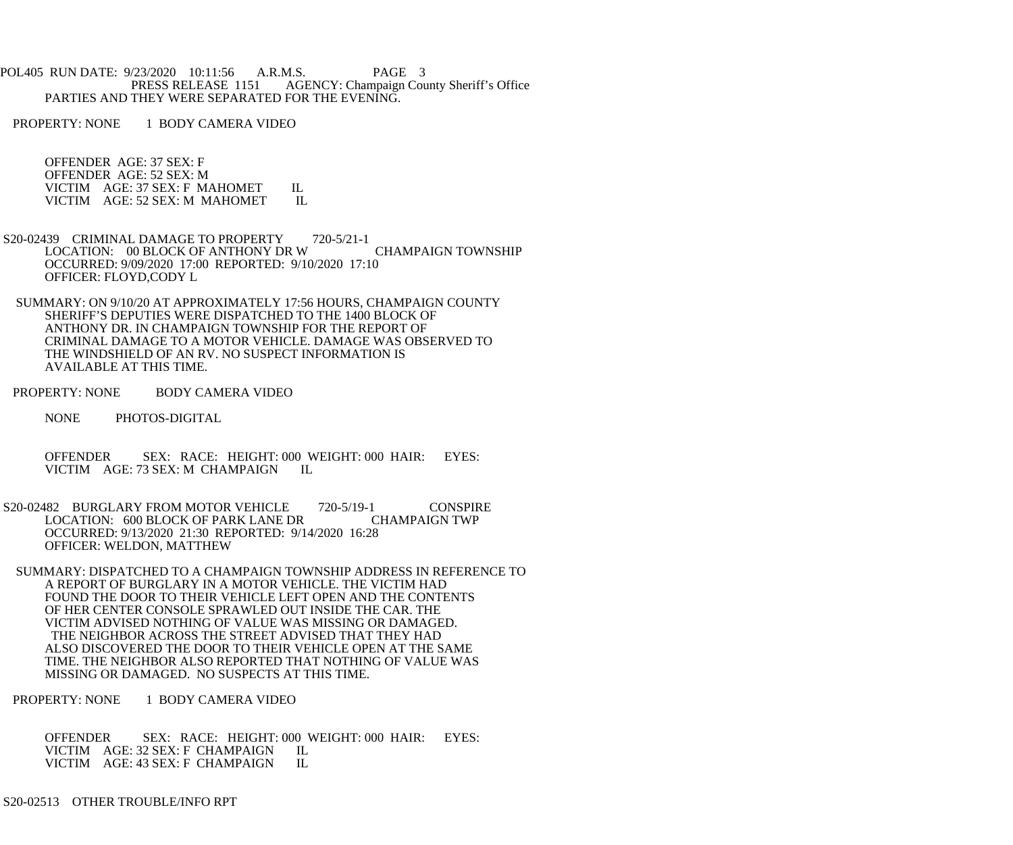POL405 RUN DATE: 9/23/2020 10:11:56 A.R.M.S. PAGE 3<br>PRESS RELEASE 1151 AGENCY: Champaign Cou AGENCY: Champaign County Sheriff's Office PARTIES AND THEY WERE SEPARATED FOR THE EVENING.

PROPERTY: NONE 1 BODY CAMERA VIDEO

 OFFENDER AGE: 37 SEX: F OFFENDER AGE: 52 SEX: M VICTIM AGE: 37 SEX: F MAHOMET IL VICTIM AGE: 52 SEX: M MAHOMET IL

- S20-02439 CRIMINAL DAMAGE TO PROPERTY 720-5/21-1 LOCATION: 00 BLOCK OF ANTHONY DR W CHAMPAIGN TOWNSHIP OCCURRED: 9/09/2020 17:00 REPORTED: 9/10/2020 17:10 OFFICER: FLOYD,CODY L
- SUMMARY: ON 9/10/20 AT APPROXIMATELY 17:56 HOURS, CHAMPAIGN COUNTY SHERIFF'S DEPUTIES WERE DISPATCHED TO THE 1400 BLOCK OF ANTHONY DR. IN CHAMPAIGN TOWNSHIP FOR THE REPORT OF CRIMINAL DAMAGE TO A MOTOR VEHICLE. DAMAGE WAS OBSERVED TO THE WINDSHIELD OF AN RV. NO SUSPECT INFORMATION IS AVAILABLE AT THIS TIME.
- PROPERTY: NONE BODY CAMERA VIDEO
	- NONE PHOTOS-DIGITAL
	- OFFENDER SEX: RACE: HEIGHT: 000 WEIGHT: 000 HAIR: EYES:<br>VICTIM AGE: 73 SEX: M CHAMPAIGN IL VICTIM AGE: 73 SEX: M CHAMPAIGN
- S20-02482 BURGLARY FROM MOTOR VEHICLE 720-5/19-1 CONSPIRE LOCATION: 600 BLOCK OF PARK LANE DR OCCURRED: 9/13/2020 21:30 REPORTED: 9/14/2020 16:28 OFFICER: WELDON, MATTHEW
- SUMMARY: DISPATCHED TO A CHAMPAIGN TOWNSHIP ADDRESS IN REFERENCE TO A REPORT OF BURGLARY IN A MOTOR VEHICLE. THE VICTIM HAD FOUND THE DOOR TO THEIR VEHICLE LEFT OPEN AND THE CONTENTS OF HER CENTER CONSOLE SPRAWLED OUT INSIDE THE CAR. THE VICTIM ADVISED NOTHING OF VALUE WAS MISSING OR DAMAGED. THE NEIGHBOR ACROSS THE STREET ADVISED THAT THEY HAD ALSO DISCOVERED THE DOOR TO THEIR VEHICLE OPEN AT THE SAME TIME. THE NEIGHBOR ALSO REPORTED THAT NOTHING OF VALUE WAS MISSING OR DAMAGED. NO SUSPECTS AT THIS TIME.
- PROPERTY: NONE 1 BODY CAMERA VIDEO

OFFENDER SEX: RACE: HEIGHT: 000 WEIGHT: 000 HAIR: EYES:<br>VICTIM AGE: 32 SEX: F CHAMPAIGN IL VICTIM AGE: 32 SEX: F CHAMPAIGN VICTIM AGE: 43 SEX: F CHAMPAIGN IL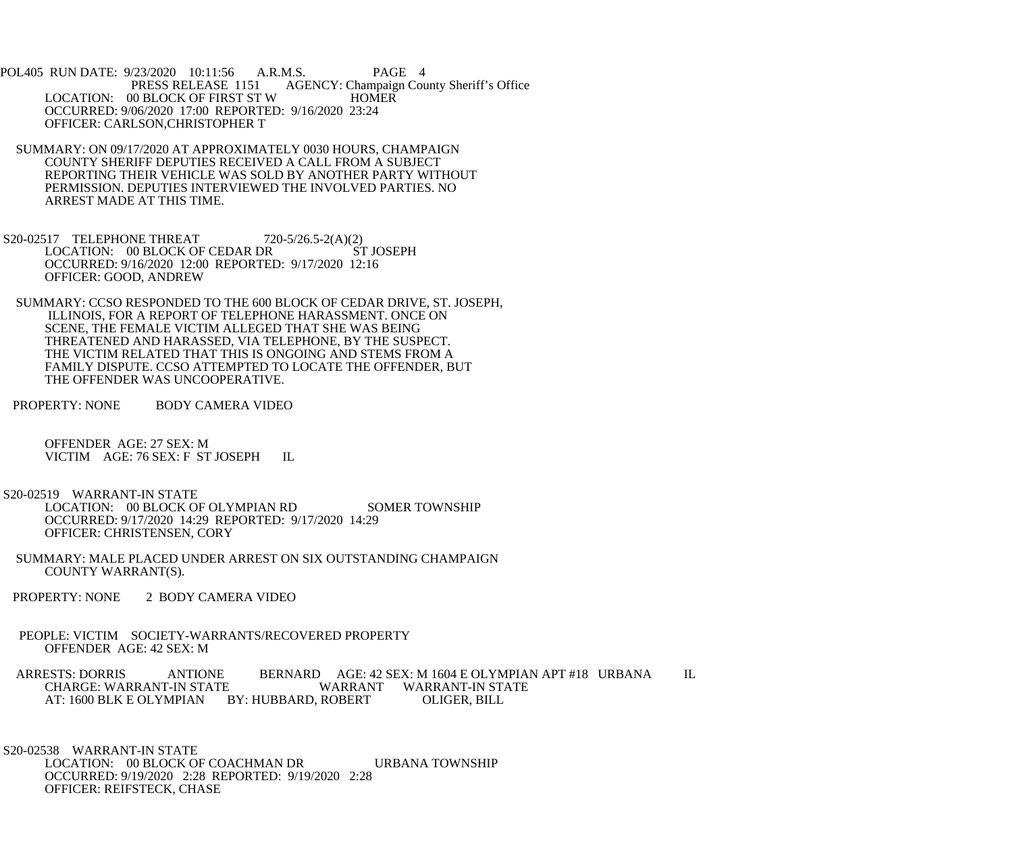POL405 RUN DATE: 9/23/2020 10:11:56 A.R.M.S. PAGE 4<br>PRESS RELEASE 1151 AGENCY: Champaign Cou AGENCY: Champaign County Sheriff's Office LOCATION: 00 BLOCK OF FIRST ST W HOMER OCCURRED: 9/06/2020 17:00 REPORTED: 9/16/2020 23:24 OFFICER: CARLSON,CHRISTOPHER T

- SUMMARY: ON 09/17/2020 AT APPROXIMATELY 0030 HOURS, CHAMPAIGN COUNTY SHERIFF DEPUTIES RECEIVED A CALL FROM A SUBJECT REPORTING THEIR VEHICLE WAS SOLD BY ANOTHER PARTY WITHOUT PERMISSION. DEPUTIES INTERVIEWED THE INVOLVED PARTIES. NO ARREST MADE AT THIS TIME.
- S20-02517 TELEPHONE THREAT 720-5/26.5-2(A)(2)<br>LOCATION: 00 BLOCK OF CEDAR DR ST JOSEPH LOCATION: 00 BLOCK OF CEDAR DR OCCURRED: 9/16/2020 12:00 REPORTED: 9/17/2020 12:16 OFFICER: GOOD, ANDREW
- SUMMARY: CCSO RESPONDED TO THE 600 BLOCK OF CEDAR DRIVE, ST. JOSEPH, ILLINOIS, FOR A REPORT OF TELEPHONE HARASSMENT. ONCE ON SCENE, THE FEMALE VICTIM ALLEGED THAT SHE WAS BEING THREATENED AND HARASSED, VIA TELEPHONE, BY THE SUSPECT. THE VICTIM RELATED THAT THIS IS ONGOING AND STEMS FROM A FAMILY DISPUTE. CCSO ATTEMPTED TO LOCATE THE OFFENDER, BUT THE OFFENDER WAS UNCOOPERATIVE.
- PROPERTY: NONE BODY CAMERA VIDEO

 OFFENDER AGE: 27 SEX: M VICTIM AGE: 76 SEX: F ST JOSEPH IL

 S20-02519 WARRANT-IN STATE LOCATION: 00 BLOCK OF OLYMPIAN RD SOMER TOWNSHIP

 OCCURRED: 9/17/2020 14:29 REPORTED: 9/17/2020 14:29 OFFICER: CHRISTENSEN, CORY

- SUMMARY: MALE PLACED UNDER ARREST ON SIX OUTSTANDING CHAMPAIGN COUNTY WARRANT(S).
- PROPERTY: NONE 2 BODY CAMERA VIDEO
- PEOPLE: VICTIM SOCIETY-WARRANTS/RECOVERED PROPERTY OFFENDER AGE: 42 SEX: M

ARRESTS: DORRIS ANTIONE BERNARD AGE: 42 SEX: M 1604 E OLYMPIAN APT #18 URBANA IL<br>CHARGE: WARRANT-IN STATE WARRANT WARRANT-IN STATE WARRANT WARRANT-IN STATE<br>ROBERT OLIGER. BILL AT: 1600 BLK E OLYMPIAN BY: HUBBARD, ROBERT

 S20-02538 WARRANT-IN STATE LOCATION: 00 BLOCK OF COACHMAN DR URBANA TOWNSHIP OCCURRED: 9/19/2020 2:28 REPORTED: 9/19/2020 2:28 OFFICER: REIFSTECK, CHASE